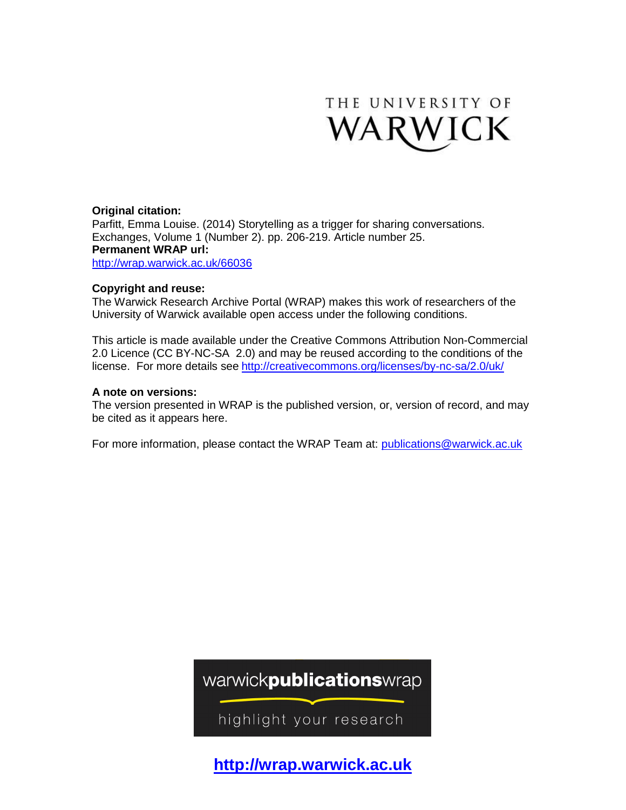

#### **Original citation:**

Parfitt, Emma Louise. (2014) Storytelling as a trigger for sharing conversations. Exchanges, Volume 1 (Number 2). pp. 206-219. Article number 25. **Permanent WRAP url:** <http://wrap.warwick.ac.uk/66036>

#### **Copyright and reuse:**

The Warwick Research Archive Portal (WRAP) makes this work of researchers of the University of Warwick available open access under the following conditions.

This article is made available under the Creative Commons Attribution Non-Commercial 2.0 Licence (CC BY-NC-SA 2.0) and may be reused according to the conditions of the license. For more details see <http://creativecommons.org/licenses/by-nc-sa/2.0/uk/>

#### **A note on versions:**

The version presented in WRAP is the published version, or, version of record, and may be cited as it appears here.

For more information, please contact the WRAP Team at: [publications@warwick.ac.uk](mailto:publications@warwick.ac.uk)

warwickpublicationswrap

highlight your research

**[http://wrap.warwick.ac.uk](http://wrap.warwick.ac.uk/)**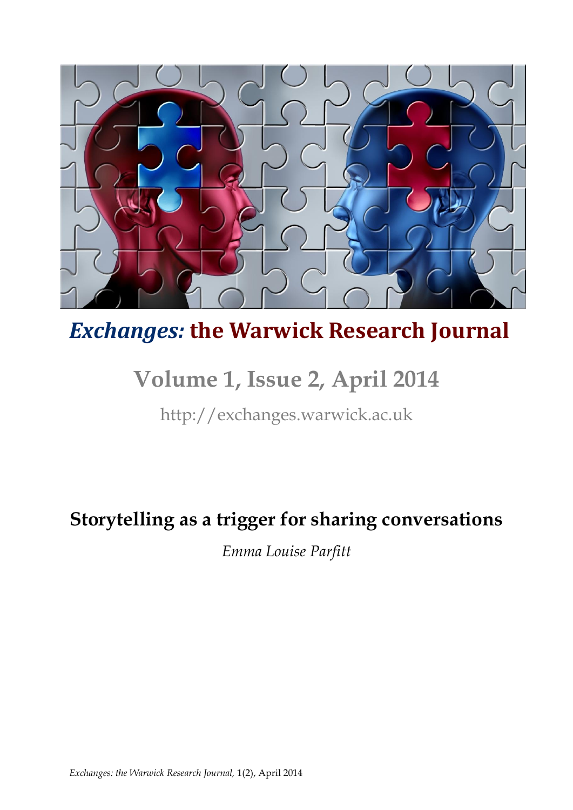

# *Exchanges:* **the Warwick Research Journal**

# **Volume 1, Issue 2, April 2014**

http://exchanges.warwick.ac.uk

### **Storytelling as a trigger for sharing conversations**

*Emma Louise Parfitt*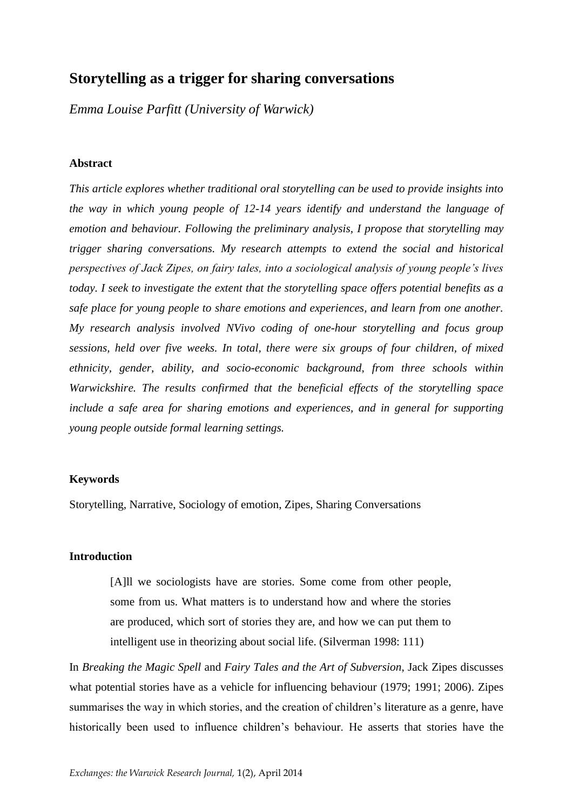### **Storytelling as a trigger for sharing conversations**

*Emma Louise Parfitt (University of Warwick)*

#### **Abstract**

*This article explores whether traditional oral storytelling can be used to provide insights into the way in which young people of 12-14 years identify and understand the language of emotion and behaviour. Following the preliminary analysis, I propose that storytelling may trigger sharing conversations. My research attempts to extend the social and historical perspectives of Jack Zipes, on fairy tales, into a sociological analysis of young people's lives today. I seek to investigate the extent that the storytelling space offers potential benefits as a safe place for young people to share emotions and experiences, and learn from one another. My research analysis involved NVivo coding of one-hour storytelling and focus group sessions, held over five weeks. In total, there were six groups of four children, of mixed ethnicity, gender, ability, and socio-economic background, from three schools within Warwickshire. The results confirmed that the beneficial effects of the storytelling space include a safe area for sharing emotions and experiences, and in general for supporting young people outside formal learning settings.*

#### **Keywords**

Storytelling, Narrative, Sociology of emotion, Zipes, Sharing Conversations

#### **Introduction**

[A]ll we sociologists have are stories. Some come from other people, some from us. What matters is to understand how and where the stories are produced, which sort of stories they are, and how we can put them to intelligent use in theorizing about social life. (Silverman 1998: 111)

In *Breaking the Magic Spell* and *Fairy Tales and the Art of Subversion*, Jack Zipes discusses what potential stories have as a vehicle for influencing behaviour (1979; 1991; 2006). Zipes summarises the way in which stories, and the creation of children's literature as a genre, have historically been used to influence children's behaviour. He asserts that stories have the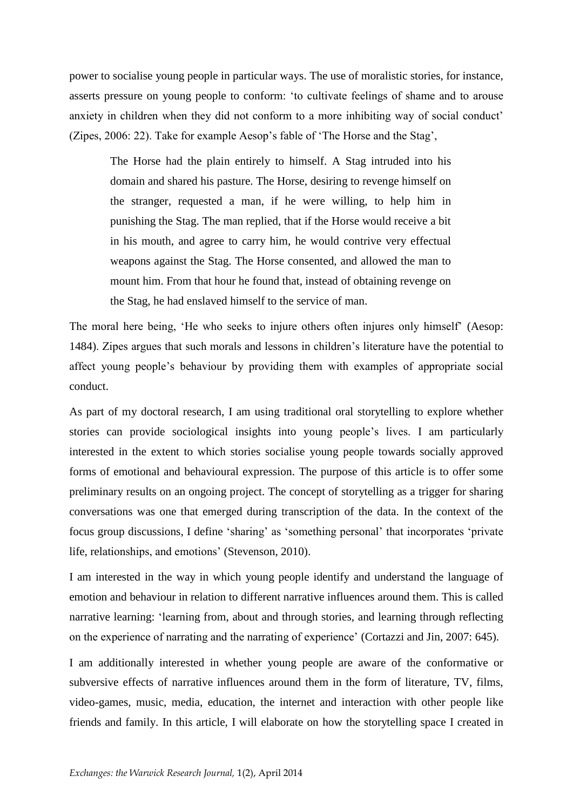power to socialise young people in particular ways. The use of moralistic stories, for instance, asserts pressure on young people to conform: 'to cultivate feelings of shame and to arouse anxiety in children when they did not conform to a more inhibiting way of social conduct' (Zipes, 2006: 22). Take for example Aesop's fable of 'The Horse and the Stag',

The Horse had the plain entirely to himself. A Stag intruded into his domain and shared his pasture. The Horse, desiring to revenge himself on the stranger, requested a man, if he were willing, to help him in punishing the Stag. The man replied, that if the Horse would receive a bit in his mouth, and agree to carry him, he would contrive very effectual weapons against the Stag. The Horse consented, and allowed the man to mount him. From that hour he found that, instead of obtaining revenge on the Stag, he had enslaved himself to the service of man.

The moral here being, 'He who seeks to injure others often injures only himself' (Aesop: 1484). Zipes argues that such morals and lessons in children's literature have the potential to affect young people's behaviour by providing them with examples of appropriate social conduct.

As part of my doctoral research, I am using traditional oral storytelling to explore whether stories can provide sociological insights into young people's lives. I am particularly interested in the extent to which stories socialise young people towards socially approved forms of emotional and behavioural expression. The purpose of this article is to offer some preliminary results on an ongoing project. The concept of storytelling as a trigger for sharing conversations was one that emerged during transcription of the data. In the context of the focus group discussions, I define 'sharing' as 'something personal' that incorporates 'private life, relationships, and emotions' (Stevenson, 2010).

I am interested in the way in which young people identify and understand the language of emotion and behaviour in relation to different narrative influences around them. This is called narrative learning: 'learning from, about and through stories, and learning through reflecting on the experience of narrating and the narrating of experience' (Cortazzi and Jin, 2007: 645).

I am additionally interested in whether young people are aware of the conformative or subversive effects of narrative influences around them in the form of literature, TV, films, video-games, music, media, education, the internet and interaction with other people like friends and family. In this article, I will elaborate on how the storytelling space I created in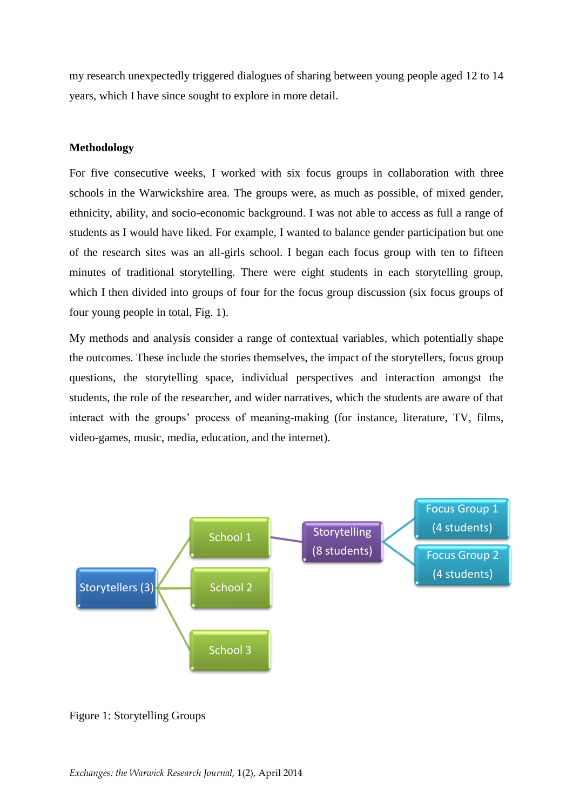my research unexpectedly triggered dialogues of sharing between young people aged 12 to 14 years, which I have since sought to explore in more detail.

#### **Methodology**

For five consecutive weeks, I worked with six focus groups in collaboration with three schools in the Warwickshire area. The groups were, as much as possible, of mixed gender, ethnicity, ability, and socio-economic background. I was not able to access as full a range of students as I would have liked. For example, I wanted to balance gender participation but one of the research sites was an all-girls school. I began each focus group with ten to fifteen minutes of traditional storytelling. There were eight students in each storytelling group, which I then divided into groups of four for the focus group discussion (six focus groups of four young people in total, Fig. 1).

My methods and analysis consider a range of contextual variables, which potentially shape the outcomes. These include the stories themselves, the impact of the storytellers, focus group questions, the storytelling space, individual perspectives and interaction amongst the students, the role of the researcher, and wider narratives, which the students are aware of that interact with the groups' process of meaning-making (for instance, literature, TV, films, video-games, music, media, education, and the internet).



Figure 1: Storytelling Groups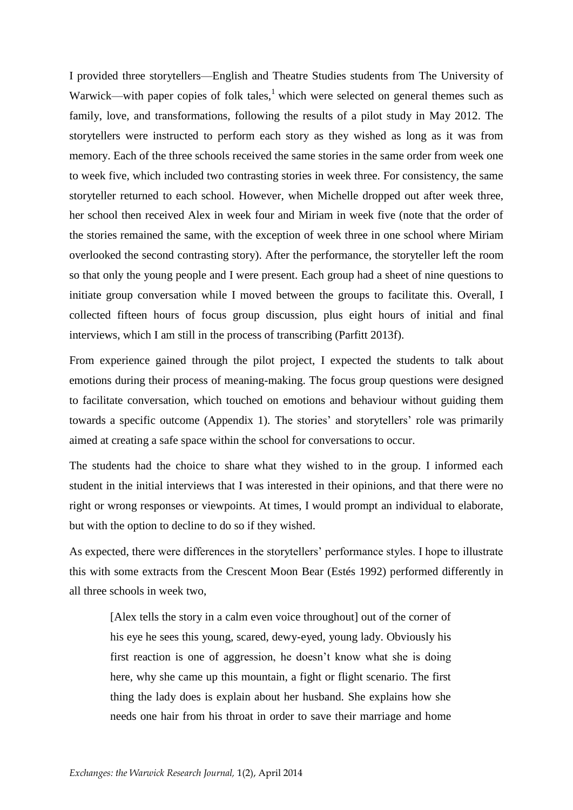I provided three storytellers—English and Theatre Studies students from The University of Warwick—with paper copies of folk tales,<sup>1</sup> which were selected on general themes such as family, love, and transformations, following the results of a pilot study in May 2012. The storytellers were instructed to perform each story as they wished as long as it was from memory. Each of the three schools received the same stories in the same order from week one to week five, which included two contrasting stories in week three. For consistency, the same storyteller returned to each school. However, when Michelle dropped out after week three, her school then received Alex in week four and Miriam in week five (note that the order of the stories remained the same, with the exception of week three in one school where Miriam overlooked the second contrasting story). After the performance, the storyteller left the room so that only the young people and I were present. Each group had a sheet of nine questions to initiate group conversation while I moved between the groups to facilitate this. Overall, I collected fifteen hours of focus group discussion, plus eight hours of initial and final interviews, which I am still in the process of transcribing (Parfitt 2013f).

From experience gained through the pilot project, I expected the students to talk about emotions during their process of meaning-making. The focus group questions were designed to facilitate conversation, which touched on emotions and behaviour without guiding them towards a specific outcome (Appendix 1). The stories' and storytellers' role was primarily aimed at creating a safe space within the school for conversations to occur.

The students had the choice to share what they wished to in the group. I informed each student in the initial interviews that I was interested in their opinions, and that there were no right or wrong responses or viewpoints. At times, I would prompt an individual to elaborate, but with the option to decline to do so if they wished.

As expected, there were differences in the storytellers' performance styles. I hope to illustrate this with some extracts from the Crescent Moon Bear (Estés 1992) performed differently in all three schools in week two,

[Alex tells the story in a calm even voice throughout] out of the corner of his eye he sees this young, scared, dewy-eyed, young lady. Obviously his first reaction is one of aggression, he doesn't know what she is doing here, why she came up this mountain, a fight or flight scenario. The first thing the lady does is explain about her husband. She explains how she needs one hair from his throat in order to save their marriage and home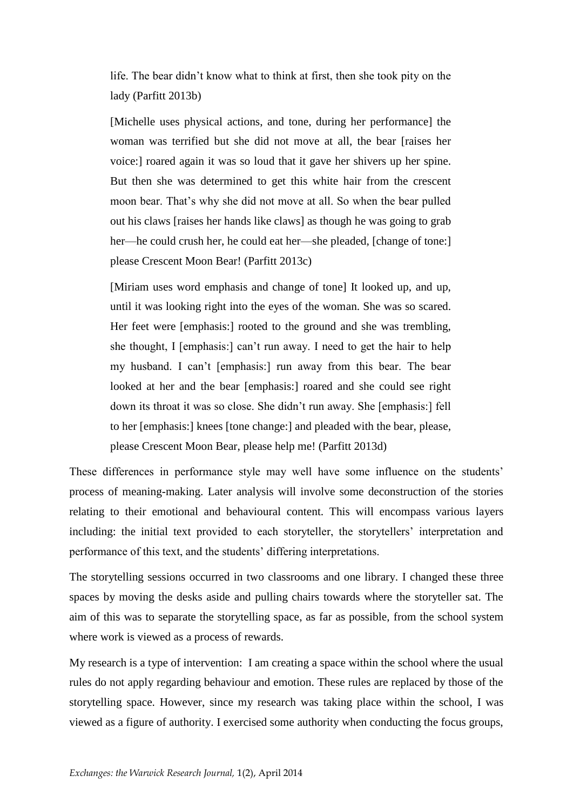life. The bear didn't know what to think at first, then she took pity on the lady (Parfitt 2013b)

[Michelle uses physical actions, and tone, during her performance] the woman was terrified but she did not move at all, the bear [raises her voice:] roared again it was so loud that it gave her shivers up her spine. But then she was determined to get this white hair from the crescent moon bear. That's why she did not move at all. So when the bear pulled out his claws [raises her hands like claws] as though he was going to grab her—he could crush her, he could eat her—she pleaded, [change of tone:] please Crescent Moon Bear! (Parfitt 2013c)

[Miriam uses word emphasis and change of tone] It looked up, and up, until it was looking right into the eyes of the woman. She was so scared. Her feet were [emphasis:] rooted to the ground and she was trembling, she thought, I [emphasis:] can't run away. I need to get the hair to help my husband. I can't [emphasis:] run away from this bear. The bear looked at her and the bear [emphasis:] roared and she could see right down its throat it was so close. She didn't run away. She [emphasis:] fell to her [emphasis:] knees [tone change:] and pleaded with the bear, please, please Crescent Moon Bear, please help me! (Parfitt 2013d)

These differences in performance style may well have some influence on the students' process of meaning-making. Later analysis will involve some deconstruction of the stories relating to their emotional and behavioural content. This will encompass various layers including: the initial text provided to each storyteller, the storytellers' interpretation and performance of this text, and the students' differing interpretations.

The storytelling sessions occurred in two classrooms and one library. I changed these three spaces by moving the desks aside and pulling chairs towards where the storyteller sat. The aim of this was to separate the storytelling space, as far as possible, from the school system where work is viewed as a process of rewards.

My research is a type of intervention: I am creating a space within the school where the usual rules do not apply regarding behaviour and emotion. These rules are replaced by those of the storytelling space. However, since my research was taking place within the school, I was viewed as a figure of authority. I exercised some authority when conducting the focus groups,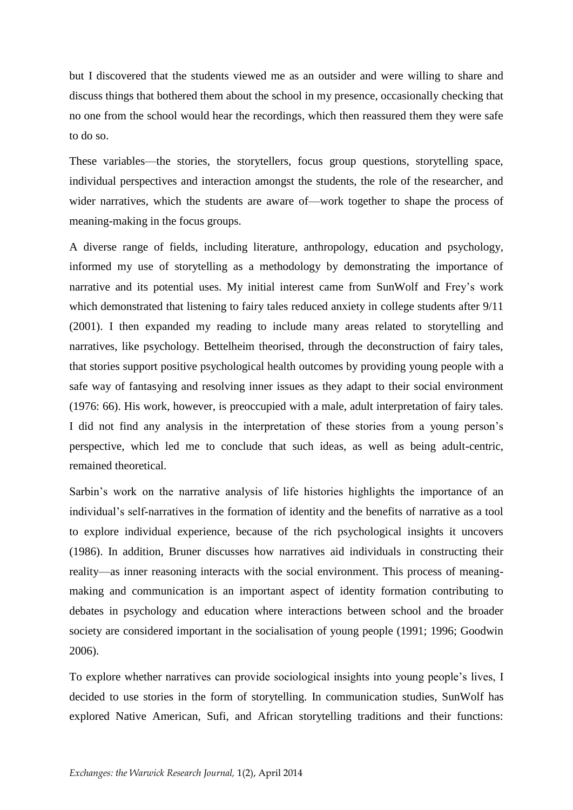but I discovered that the students viewed me as an outsider and were willing to share and discuss things that bothered them about the school in my presence, occasionally checking that no one from the school would hear the recordings, which then reassured them they were safe to do so.

These variables—the stories, the storytellers, focus group questions, storytelling space, individual perspectives and interaction amongst the students, the role of the researcher, and wider narratives, which the students are aware of—work together to shape the process of meaning-making in the focus groups.

A diverse range of fields, including literature, anthropology, education and psychology, informed my use of storytelling as a methodology by demonstrating the importance of narrative and its potential uses. My initial interest came from SunWolf and Frey's work which demonstrated that listening to fairy tales reduced anxiety in college students after 9/11 (2001). I then expanded my reading to include many areas related to storytelling and narratives, like psychology. Bettelheim theorised, through the deconstruction of fairy tales, that stories support positive psychological health outcomes by providing young people with a safe way of fantasying and resolving inner issues as they adapt to their social environment (1976: 66). His work, however, is preoccupied with a male, adult interpretation of fairy tales. I did not find any analysis in the interpretation of these stories from a young person's perspective, which led me to conclude that such ideas, as well as being adult-centric, remained theoretical.

Sarbin's work on the narrative analysis of life histories highlights the importance of an individual's self-narratives in the formation of identity and the benefits of narrative as a tool to explore individual experience, because of the rich psychological insights it uncovers (1986). In addition, Bruner discusses how narratives aid individuals in constructing their reality—as inner reasoning interacts with the social environment. This process of meaningmaking and communication is an important aspect of identity formation contributing to debates in psychology and education where interactions between school and the broader society are considered important in the socialisation of young people (1991; 1996; Goodwin 2006).

To explore whether narratives can provide sociological insights into young people's lives, I decided to use stories in the form of storytelling. In communication studies, SunWolf has explored Native American, Sufi, and African storytelling traditions and their functions: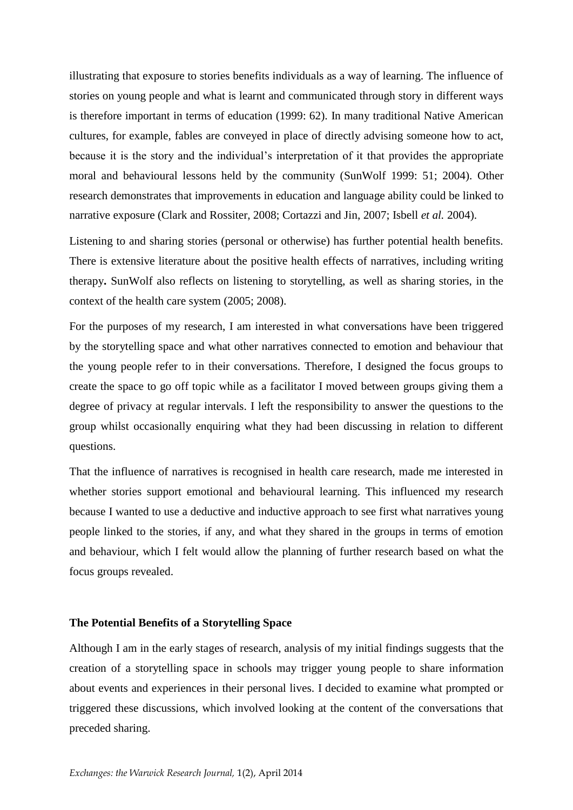illustrating that exposure to stories benefits individuals as a way of learning. The influence of stories on young people and what is learnt and communicated through story in different ways is therefore important in terms of education (1999: 62). In many traditional Native American cultures, for example, fables are conveyed in place of directly advising someone how to act, because it is the story and the individual's interpretation of it that provides the appropriate moral and behavioural lessons held by the community (SunWolf 1999: 51; 2004). Other research demonstrates that improvements in education and language ability could be linked to narrative exposure (Clark and Rossiter, 2008; Cortazzi and Jin, 2007; Isbell *et al.* 2004).

Listening to and sharing stories (personal or otherwise) has further potential health benefits. There is extensive literature about the positive health effects of narratives, including writing therapy**.** SunWolf also reflects on listening to storytelling, as well as sharing stories, in the context of the health care system (2005; 2008).

For the purposes of my research, I am interested in what conversations have been triggered by the storytelling space and what other narratives connected to emotion and behaviour that the young people refer to in their conversations. Therefore, I designed the focus groups to create the space to go off topic while as a facilitator I moved between groups giving them a degree of privacy at regular intervals. I left the responsibility to answer the questions to the group whilst occasionally enquiring what they had been discussing in relation to different questions.

That the influence of narratives is recognised in health care research, made me interested in whether stories support emotional and behavioural learning. This influenced my research because I wanted to use a deductive and inductive approach to see first what narratives young people linked to the stories, if any, and what they shared in the groups in terms of emotion and behaviour, which I felt would allow the planning of further research based on what the focus groups revealed.

#### **The Potential Benefits of a Storytelling Space**

Although I am in the early stages of research, analysis of my initial findings suggests that the creation of a storytelling space in schools may trigger young people to share information about events and experiences in their personal lives. I decided to examine what prompted or triggered these discussions, which involved looking at the content of the conversations that preceded sharing.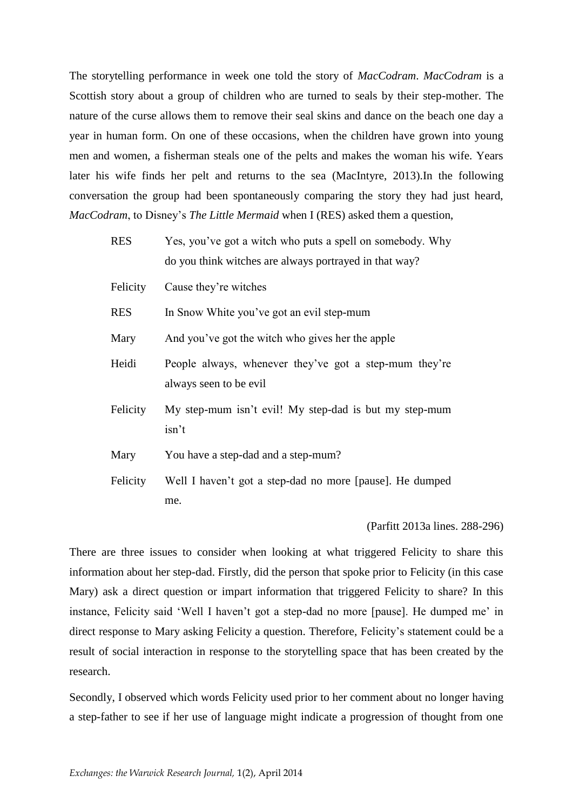The storytelling performance in week one told the story of *MacCodram*. *MacCodram* is a Scottish story about a group of children who are turned to seals by their step-mother. The nature of the curse allows them to remove their seal skins and dance on the beach one day a year in human form. On one of these occasions, when the children have grown into young men and women, a fisherman steals one of the pelts and makes the woman his wife. Years later his wife finds her pelt and returns to the sea (MacIntyre, 2013).In the following conversation the group had been spontaneously comparing the story they had just heard, *MacCodram*, to Disney's *The Little Mermaid* when I (RES) asked them a question,

| <b>RES</b> | Yes, you've got a witch who puts a spell on somebody. Why<br>do you think witches are always portrayed in that way? |
|------------|---------------------------------------------------------------------------------------------------------------------|
| Felicity   | Cause they're witches                                                                                               |
| <b>RES</b> | In Snow White you've got an evil step-mum                                                                           |
| Mary       | And you've got the witch who gives her the apple                                                                    |
| Heidi      | People always, whenever they've got a step-mum they're<br>always seen to be evil                                    |
| Felicity   | My step-mum isn't evil! My step-dad is but my step-mum<br>isn't                                                     |
| Mary       | You have a step-dad and a step-mum?                                                                                 |
| Felicity   | Well I haven't got a step-dad no more [pause]. He dumped<br>me.                                                     |

(Parfitt 2013a lines. 288-296)

There are three issues to consider when looking at what triggered Felicity to share this information about her step-dad. Firstly, did the person that spoke prior to Felicity (in this case Mary) ask a direct question or impart information that triggered Felicity to share? In this instance, Felicity said 'Well I haven't got a step-dad no more [pause]. He dumped me' in direct response to Mary asking Felicity a question. Therefore, Felicity's statement could be a result of social interaction in response to the storytelling space that has been created by the research.

Secondly, I observed which words Felicity used prior to her comment about no longer having a step-father to see if her use of language might indicate a progression of thought from one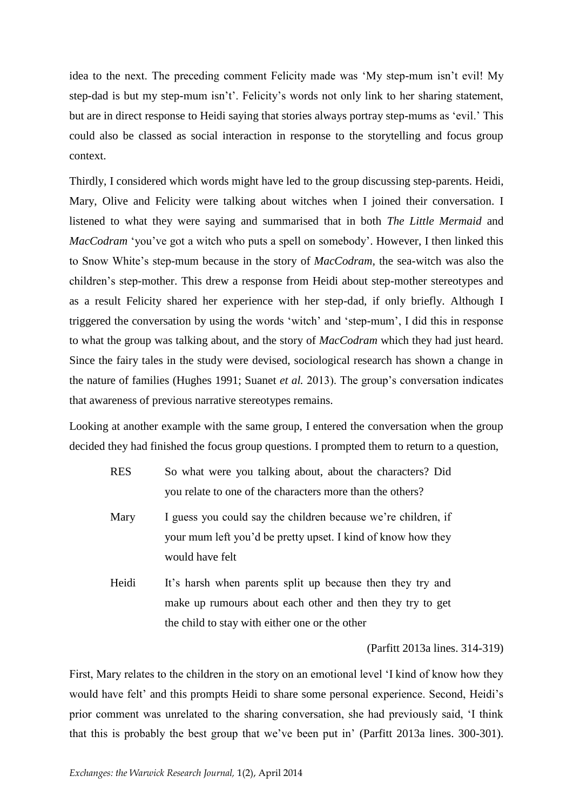idea to the next. The preceding comment Felicity made was 'My step-mum isn't evil! My step-dad is but my step-mum isn't'. Felicity's words not only link to her sharing statement, but are in direct response to Heidi saying that stories always portray step-mums as 'evil.' This could also be classed as social interaction in response to the storytelling and focus group context.

Thirdly, I considered which words might have led to the group discussing step-parents. Heidi, Mary, Olive and Felicity were talking about witches when I joined their conversation. I listened to what they were saying and summarised that in both *The Little Mermaid* and *MacCodram* 'you've got a witch who puts a spell on somebody'. However, I then linked this to Snow White's step-mum because in the story of *MacCodram,* the sea-witch was also the children's step-mother. This drew a response from Heidi about step-mother stereotypes and as a result Felicity shared her experience with her step-dad, if only briefly. Although I triggered the conversation by using the words 'witch' and 'step-mum', I did this in response to what the group was talking about, and the story of *MacCodram* which they had just heard. Since the fairy tales in the study were devised, sociological research has shown a change in the nature of families (Hughes 1991; Suanet *et al.* 2013). The group's conversation indicates that awareness of previous narrative stereotypes remains.

Looking at another example with the same group, I entered the conversation when the group decided they had finished the focus group questions. I prompted them to return to a question,

- RES So what were you talking about, about the characters? Did you relate to one of the characters more than the others?
- Mary I guess you could say the children because we're children, if your mum left you'd be pretty upset. I kind of know how they would have felt
- Heidi It's harsh when parents split up because then they try and make up rumours about each other and then they try to get the child to stay with either one or the other

(Parfitt 2013a lines. 314-319)

First, Mary relates to the children in the story on an emotional level 'I kind of know how they would have felt' and this prompts Heidi to share some personal experience. Second, Heidi's prior comment was unrelated to the sharing conversation, she had previously said, 'I think that this is probably the best group that we've been put in' (Parfitt 2013a lines. 300-301).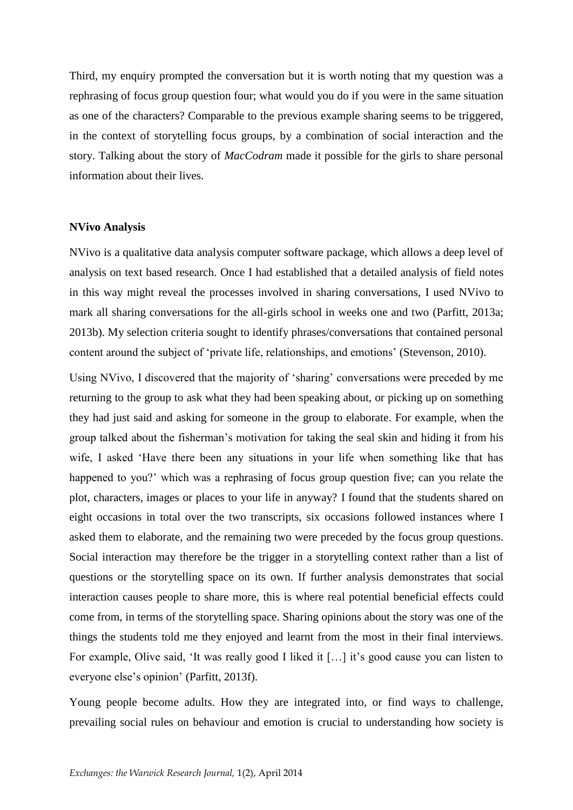Third, my enquiry prompted the conversation but it is worth noting that my question was a rephrasing of focus group question four; what would you do if you were in the same situation as one of the characters? Comparable to the previous example sharing seems to be triggered, in the context of storytelling focus groups, by a combination of social interaction and the story. Talking about the story of *MacCodram* made it possible for the girls to share personal information about their lives.

#### **NVivo Analysis**

NVivo is a qualitative data analysis computer software package, which allows a deep level of analysis on text based research. Once I had established that a detailed analysis of field notes in this way might reveal the processes involved in sharing conversations, I used NVivo to mark all sharing conversations for the all-girls school in weeks one and two (Parfitt, 2013a; 2013b). My selection criteria sought to identify phrases/conversations that contained personal content around the subject of 'private life, relationships, and emotions' (Stevenson, 2010).

Using NVivo, I discovered that the majority of 'sharing' conversations were preceded by me returning to the group to ask what they had been speaking about, or picking up on something they had just said and asking for someone in the group to elaborate. For example, when the group talked about the fisherman's motivation for taking the seal skin and hiding it from his wife, I asked 'Have there been any situations in your life when something like that has happened to you?' which was a rephrasing of focus group question five; can you relate the plot, characters, images or places to your life in anyway? I found that the students shared on eight occasions in total over the two transcripts, six occasions followed instances where I asked them to elaborate, and the remaining two were preceded by the focus group questions. Social interaction may therefore be the trigger in a storytelling context rather than a list of questions or the storytelling space on its own. If further analysis demonstrates that social interaction causes people to share more, this is where real potential beneficial effects could come from, in terms of the storytelling space. Sharing opinions about the story was one of the things the students told me they enjoyed and learnt from the most in their final interviews. For example, Olive said, 'It was really good I liked it […] it's good cause you can listen to everyone else's opinion' (Parfitt, 2013f).

Young people become adults. How they are integrated into, or find ways to challenge, prevailing social rules on behaviour and emotion is crucial to understanding how society is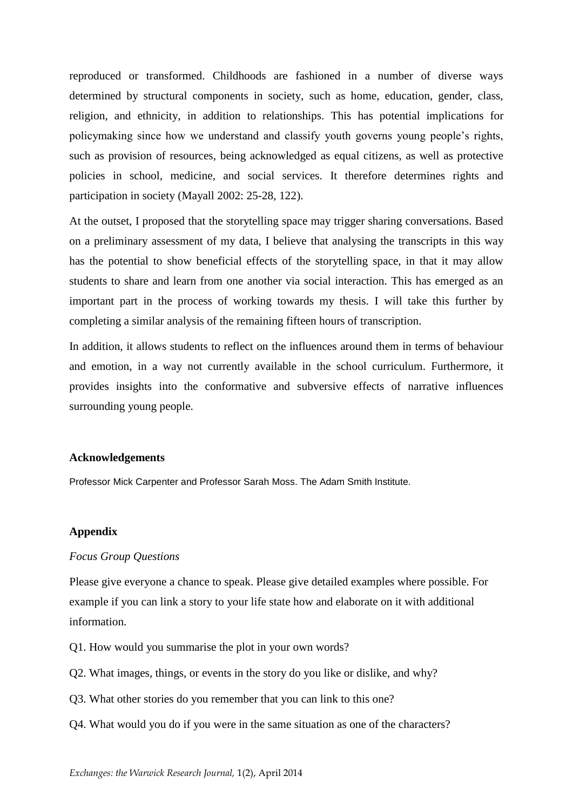reproduced or transformed. Childhoods are fashioned in a number of diverse ways determined by structural components in society, such as home, education, gender, class, religion, and ethnicity, in addition to relationships. This has potential implications for policymaking since how we understand and classify youth governs young people's rights, such as provision of resources, being acknowledged as equal citizens, as well as protective policies in school, medicine, and social services. It therefore determines rights and participation in society (Mayall 2002: 25-28, 122).

At the outset, I proposed that the storytelling space may trigger sharing conversations. Based on a preliminary assessment of my data, I believe that analysing the transcripts in this way has the potential to show beneficial effects of the storytelling space, in that it may allow students to share and learn from one another via social interaction. This has emerged as an important part in the process of working towards my thesis. I will take this further by completing a similar analysis of the remaining fifteen hours of transcription.

In addition, it allows students to reflect on the influences around them in terms of behaviour and emotion, in a way not currently available in the school curriculum. Furthermore, it provides insights into the conformative and subversive effects of narrative influences surrounding young people.

#### **Acknowledgements**

Professor Mick Carpenter and Professor Sarah Moss. The Adam Smith Institute.

#### **Appendix**

#### *Focus Group Questions*

Please give everyone a chance to speak. Please give detailed examples where possible. For example if you can link a story to your life state how and elaborate on it with additional information.

- Q1. How would you summarise the plot in your own words?
- Q2. What images, things, or events in the story do you like or dislike, and why?
- Q3. What other stories do you remember that you can link to this one?
- Q4. What would you do if you were in the same situation as one of the characters?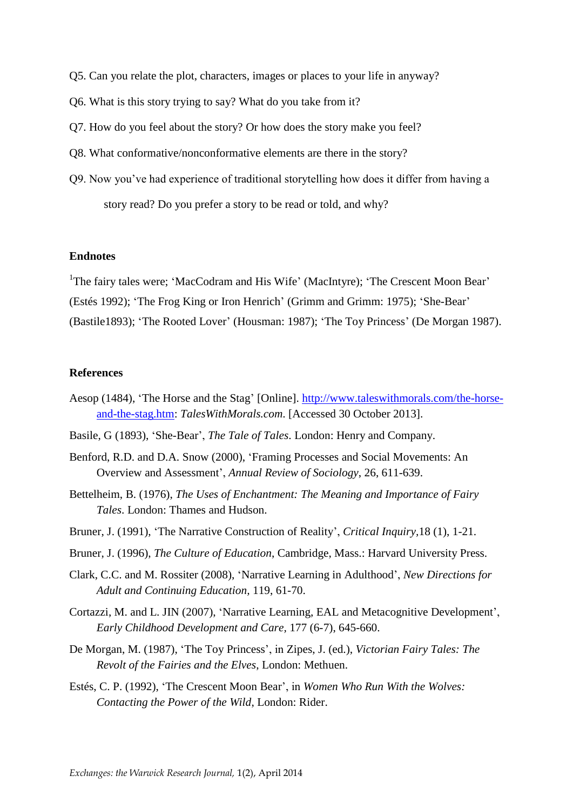- Q5. Can you relate the plot, characters, images or places to your life in anyway?
- Q6. What is this story trying to say? What do you take from it?
- Q7. How do you feel about the story? Or how does the story make you feel?
- Q8. What conformative/nonconformative elements are there in the story?
- Q9. Now you've had experience of traditional storytelling how does it differ from having a story read? Do you prefer a story to be read or told, and why?

#### **Endnotes**

<sup>1</sup>The fairy tales were; 'MacCodram and His Wife' (MacIntyre); 'The Crescent Moon Bear' (Estés 1992); 'The Frog King or Iron Henrich' (Grimm and Grimm: 1975); 'She-Bear' (Bastile1893); 'The Rooted Lover' (Housman: 1987); 'The Toy Princess' (De Morgan 1987).

#### **References**

- Aesop (1484), 'The Horse and the Stag' [Online]. [http://www.taleswithmorals.com/the-horse](http://www.taleswithmorals.com/the-horse-and-the-stag.htm)[and-the-stag.htm:](http://www.taleswithmorals.com/the-horse-and-the-stag.htm) *TalesWithMorals.com*. [Accessed 30 October 2013].
- Basile, G (1893), 'She-Bear', *The Tale of Tales*. London: Henry and Company.
- Benford, R.D. and D.A. Snow (2000), 'Framing Processes and Social Movements: An Overview and Assessment', *Annual Review of Sociology*, 26, 611-639.
- Bettelheim, B. (1976), *The Uses of Enchantment: The Meaning and Importance of Fairy Tales*. London: Thames and Hudson.
- Bruner, J. (1991), 'The Narrative Construction of Reality', *Critical Inquiry,*18 (1), 1-21.
- Bruner, J. (1996), *The Culture of Education*, Cambridge, Mass.: Harvard University Press.
- Clark, C.C. and M. Rossiter (2008), 'Narrative Learning in Adulthood', *New Directions for Adult and Continuing Education,* 119, 61-70.
- Cortazzi, M. and L. JIN (2007), 'Narrative Learning, EAL and Metacognitive Development', *Early Childhood Development and Care,* 177 (6-7), 645-660.
- De Morgan, M. (1987), 'The Toy Princess', in Zipes, J. (ed.), *Victorian Fairy Tales: The Revolt of the Fairies and the Elves*, London: Methuen.
- Estés, C. P. (1992), 'The Crescent Moon Bear', in *Women Who Run With the Wolves: Contacting the Power of the Wild*, London: Rider.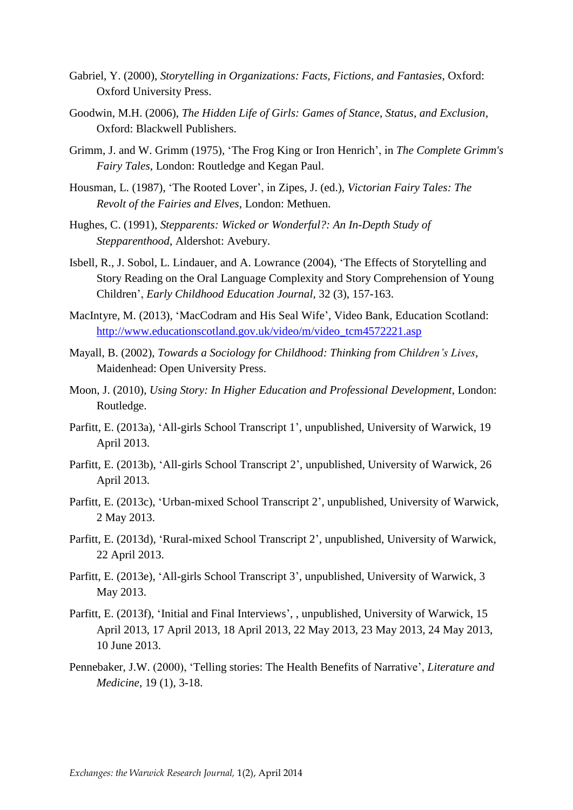- Gabriel, Y. (2000), *Storytelling in Organizations: Facts, Fictions, and Fantasies*, Oxford: Oxford University Press.
- Goodwin, M.H. (2006), *The Hidden Life of Girls: Games of Stance, Status, and Exclusion*, Oxford: Blackwell Publishers.
- Grimm, J. and W. Grimm (1975), 'The Frog King or Iron Henrich', in *The Complete Grimm's Fairy Tales*, London: Routledge and Kegan Paul.
- Housman, L. (1987), 'The Rooted Lover', in Zipes, J. (ed.), *Victorian Fairy Tales: The Revolt of the Fairies and Elves*, London: Methuen.
- Hughes, C. (1991), *Stepparents: Wicked or Wonderful?: An In-Depth Study of Stepparenthood*, Aldershot: Avebury.
- Isbell, R., J. Sobol, L. Lindauer, and A. Lowrance (2004), 'The Effects of Storytelling and Story Reading on the Oral Language Complexity and Story Comprehension of Young Children', *Early Childhood Education Journal,* 32 (3), 157-163.
- MacIntyre, M. (2013), 'MacCodram and His Seal Wife', Video Bank, Education Scotland: [http://www.educationscotland.gov.uk/video/m/video\\_tcm4572221.asp](http://www.educationscotland.gov.uk/video/m/video_tcm4572221.asp)
- Mayall, B. (2002), *Towards a Sociology for Childhood: Thinking from Children's Lives*, Maidenhead: Open University Press.
- Moon, J. (2010), *Using Story: In Higher Education and Professional Development*, London: Routledge.
- Parfitt, E. (2013a), 'All-girls School Transcript 1', unpublished, University of Warwick, 19 April 2013.
- Parfitt, E. (2013b), 'All-girls School Transcript 2', unpublished, University of Warwick, 26 April 2013.
- Parfitt, E. (2013c), 'Urban-mixed School Transcript 2', unpublished, University of Warwick, 2 May 2013.
- Parfitt, E. (2013d), 'Rural-mixed School Transcript 2', unpublished, University of Warwick, 22 April 2013.
- Parfitt, E. (2013e), 'All-girls School Transcript 3', unpublished, University of Warwick, 3 May 2013.
- Parfitt, E. (2013f), 'Initial and Final Interviews', , unpublished, University of Warwick, 15 April 2013, 17 April 2013, 18 April 2013, 22 May 2013, 23 May 2013, 24 May 2013, 10 June 2013.
- Pennebaker, J.W. (2000), 'Telling stories: The Health Benefits of Narrative', *Literature and Medicine,* 19 (1), 3-18.